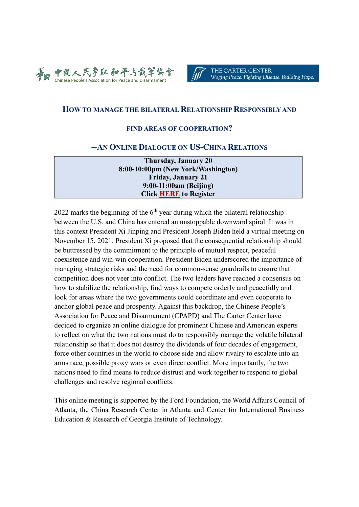



## **HOW TO MANAGE THE BILATERAL RELATIONSHIP RESPONSIBLY AND**

#### **FIND AREAS OF COOPERATION?**

#### **--AN ONLINE DIALOGUE ON US-CHINA RELATIONS**

**Thursday, January 20 8:00-10:00pm (New York/Washington) Friday, January 21 9:00-11:00am (Beijing) Click [HERE](https://us02web.zoom.us/meeting/register/tZ0vfu-tqD0qHNauBgtPRbbmm91lEUWY1VF3) to Register**

2022 marks the beginning of the  $6<sup>th</sup>$  year during which the bilateral relationship between the U.S. and China has entered an unstoppable downward spiral. It was in this context President Xi Jinping and President Joseph Biden held a virtual meeting on November 15, 2021. President Xi proposed that the consequential relationship should be buttressed by the commitment to the principle of mutual respect, peaceful coexistence and win-win cooperation. President Biden underscored the importance of managing strategic risks and the need for common-sense guardrails to ensure that competition does not veer into conflict. The two leaders have reached a consensus on how to stabilize the relationship, find ways to compete orderly and peacefully and look for areas where the two governments could coordinate and even cooperate to anchor global peace and prosperity. Against this backdrop, the Chinese People's Association for Peace and Disarmament (CPAPD) and The Carter Center have decided to organize an online dialogue for prominent Chinese and American experts to reflect on what the two nations must do to responsibly manage the volatile bilateral relationship so that it does not destroy the dividends of four decades of engagement, force other countries in the world to choose side and allow rivalry to escalate into an arms race, possible proxy wars or even direct conflict. More importantly, the two nations need to find means to reduce distrust and work together to respond to global challenges and resolve regional conflicts.

This online meeting is supported by the Ford Foundation, the World Affairs Council of Atlanta, the China Research Center in Atlanta and Center for International Business Education & Research of Georgia Institute of Technology.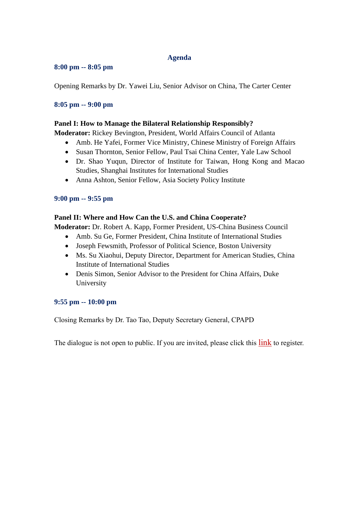# **Agenda**

#### **8:00 pm -- 8:05 pm**

Opening Remarks by Dr. Yawei Liu, Senior Advisor on China, The Carter Center

## **8:05 pm -- 9:00 pm**

## **Panel I: How to Manage the Bilateral Relationship Responsibly?**

**Moderator:** Rickey Bevington, President, World Affairs Council of Atlanta

- Amb. He Yafei, Former Vice Ministry, Chinese Ministry of Foreign Affairs
- Susan Thornton, Senior Fellow, Paul Tsai China Center, Yale Law School
- Dr. Shao Yuqun, Director of Institute for Taiwan, Hong Kong and Macao Studies, Shanghai Institutes for International Studies
- Anna Ashton, Senior Fellow, Asia Society Policy Institute

## **9:00 pm -- 9:55 pm**

## **Panel II: Where and How Can the U.S. and China Cooperate?**

**Moderator:** Dr. Robert A. Kapp, Former President, US-China Business Council

- Amb. Su Ge, Former President, China Institute of International Studies
- Joseph Fewsmith, Professor of Political Science, Boston University
- Ms. Su Xiaohui, Deputy Director, Department for American Studies, China Institute of International Studies
- Denis Simon, Senior Advisor to the President for China Affairs, Duke University

## **9:55 pm -- 10:00 pm**

Closing Remarks by Dr. Tao Tao, Deputy Secretary General, CPAPD

The dialogue is not open to public. If you are invited, please click this [link](https://us02web.zoom.us/meeting/register/tZ0vfu-tqD0qHNauBgtPRbbmm91lEUWY1VF3) to register.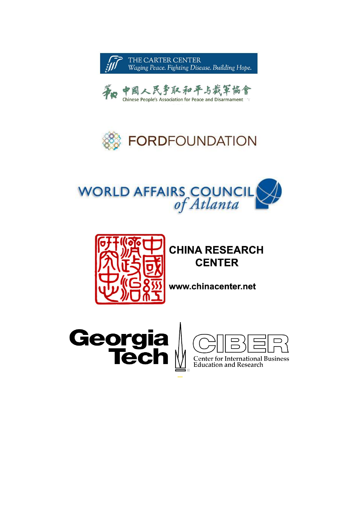









# **CHINA RESEARCH CENTER**

www.chinacenter.net



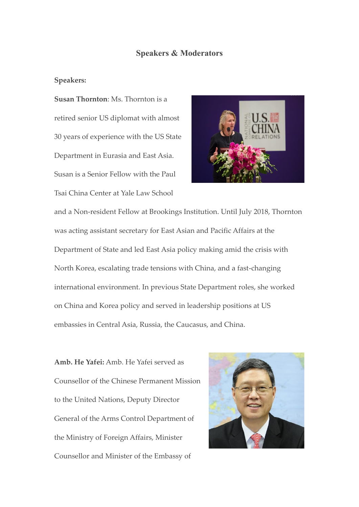## **Speakers & Moderators**

#### **Speakers:**

**Susan Thornton**: Ms. Thornton is a retired senior US diplomat with almost 30 years of experience with the US State Department in Eurasia and East Asia. Susan is a Senior Fellow with the Paul Tsai China Center at Yale Law School



and a Non-resident Fellow at Brookings Institution. Until July 2018, Thornton was acting assistant secretary for East Asian and Pacific Affairs at the Department of State and led East Asia policy making amid the crisis with North Korea, escalating trade tensions with China, and a fast-changing international environment. In previous State Department roles, she worked on China and Korea policy and served in leadership positions at US embassies in Central Asia, Russia, the Caucasus, and China.

**Amb. He Yafei:** Amb. He Yafei served as Counsellor of the Chinese Permanent Mission to the United Nations, Deputy Director General of the Arms Control Department of the Ministry of Foreign Affairs, Minister Counsellor and Minister of the Embassy of

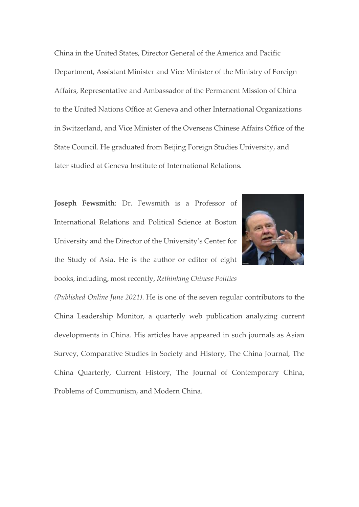China in the United States, Director General of the America and Pacific Department, Assistant Minister and Vice Minister of the Ministry of Foreign Affairs, Representative and Ambassador of the Permanent Mission of China to the United Nations Office at Geneva and other International Organizations in Switzerland, and Vice Minister of the Overseas Chinese Affairs Office of the State Council. He graduated from Beijing Foreign Studies University, and later studied at Geneva Institute of International Relations.

**Joseph Fewsmith**: Dr. Fewsmith is a Professor of International Relations and Political Science at Boston University and the Director of the University's Center for the Study of Asia. He is the author or editor of eight books, including, most recently, *Rethinking Chinese Politics* 



*(Published Online June 2021)*. He is one of the seven regular contributors to the China Leadership Monitor, a quarterly web publication analyzing current developments in China. His articles have appeared in such journals as Asian Survey, Comparative Studies in Society and History, The China Journal, The China Quarterly, Current History, The Journal of Contemporary China, Problems of Communism, and Modern China.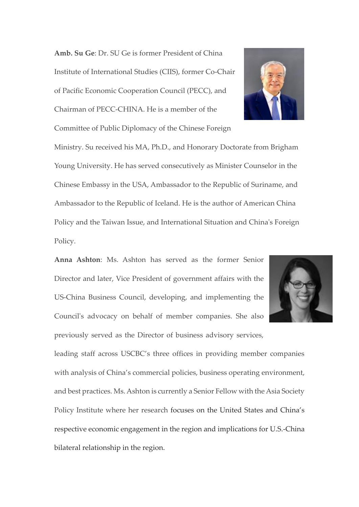**Amb. Su Ge**: Dr. SU Ge is former President of China Institute of International Studies (CIIS), former Co-Chair of Pacific Economic Cooperation Council (PECC), and Chairman of PECC-CHINA. He is a member of the Committee of Public Diplomacy of the Chinese Foreign

Ministry. Su received his MA, Ph.D., and Honorary Doctorate from Brigham Young University. He has served consecutively as Minister Counselor in the Chinese Embassy in the USA, Ambassador to the Republic of Suriname, and Ambassador to the Republic of Iceland. He is the author of American China Policy and the Taiwan Issue, and International Situation and China's Foreign Policy.

**Anna Ashton**: Ms. Ashton has served as the former Senior Director and later, Vice President of government affairs with the US-China Business Council, developing, and implementing the Council's advocacy on behalf of member companies. She also previously served as the Director of business advisory services,



leading staff across USCBC's three offices in providing member companies with analysis of China's commercial policies, business operating environment, and best practices. Ms. Ashton is currently a Senior Fellow with the Asia Society Policy Institute where her research focuses on the United States and China's respective economic engagement in the region and implications for U.S.-China bilateral relationship in the region.

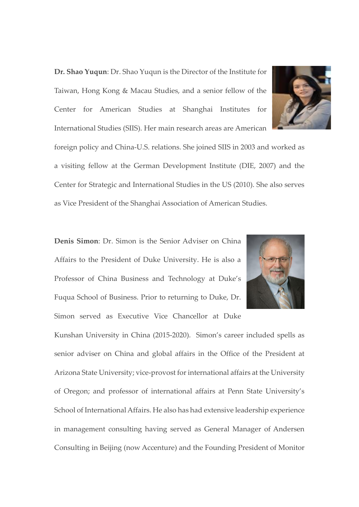**Dr. Shao Yuqun**: Dr. Shao Yuqun is the Director of the Institute for Taiwan, Hong Kong & Macau Studies, and a senior fellow of the Center for American Studies at Shanghai Institutes for International Studies (SIIS). Her main research areas are American



foreign policy and China-U.S. relations. She joined SIIS in 2003 and worked as a visiting fellow at the German Development Institute (DIE, 2007) and the Center for Strategic and International Studies in the US (2010). She also serves as Vice President of the Shanghai Association of American Studies.

**Denis Simon**: Dr. Simon is the Senior Adviser on China Affairs to the President of Duke University. He is also a Professor of China Business and Technology at Duke's Fuqua School of Business. Prior to returning to Duke, Dr. Simon served as Executive Vice Chancellor at Duke



Kunshan University in China (2015-2020). Simon's career included spells as senior adviser on China and global affairs in the Office of the President at Arizona State University; vice-provost for international affairs at the University of Oregon; and professor of international affairs at Penn State University's School of International Affairs. He also has had extensive leadership experience in management consulting having served as General Manager of Andersen Consulting in Beijing (now Accenture) and the Founding President of Monitor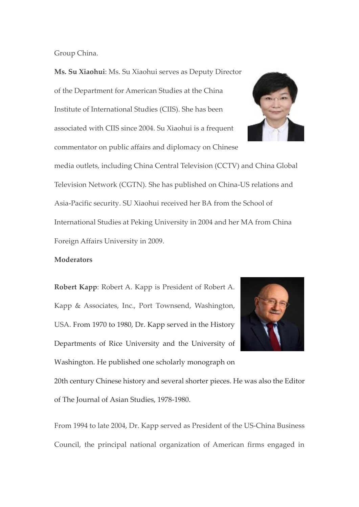Group China.

**Ms. Su Xiaohui**: Ms. Su Xiaohui serves as Deputy Director of the Department for American Studies at the China Institute of International Studies (CIIS). She has been associated with CIIS since 2004. Su Xiaohui is a frequent commentator on public affairs and diplomacy on Chinese



media outlets, including China Central Television (CCTV) and China Global Television Network (CGTN). She has published on China-US relations and Asia-Pacific security. SU Xiaohui received her BA from the School of International Studies at Peking University in 2004 and her MA from China Foreign Affairs University in 2009.

#### **Moderators**

**Robert Kapp**: Robert A. Kapp is President of Robert A. Kapp & Associates, Inc., Port Townsend, Washington, USA. From 1970 to 1980, Dr. Kapp served in the History Departments of Rice University and the University of Washington. He published one scholarly monograph on



20th century Chinese history and several shorter pieces. He was also the Editor of The Journal of Asian Studies, 1978-1980.

From 1994 to late 2004, Dr. Kapp served as President of the US-China Business Council, the principal national organization of American firms engaged in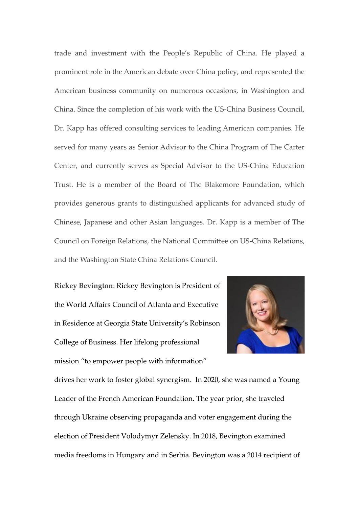trade and investment with the People's Republic of China. He played a prominent role in the American debate over China policy, and represented the American business community on numerous occasions, in Washington and China. Since the completion of his work with the US-China Business Council, Dr. Kapp has offered consulting services to leading American companies. He served for many years as Senior Advisor to the China Program of The Carter Center, and currently serves as Special Advisor to the US-China Education Trust. He is a member of the Board of The Blakemore Foundation, which provides generous grants to distinguished applicants for advanced study of Chinese, Japanese and other Asian languages. Dr. Kapp is a member of The Council on Foreign Relations, the National Committee on US-China Relations, and the Washington State China Relations Council.

**Rickey Bevington**: Rickey Bevington is President of the World Affairs Council of Atlanta and Executive in Residence at Georgia State University's Robinson College of Business. Her lifelong professional mission "to empower people with information"



drives her work to foster global synergism. In 2020, she was named a Young Leader of the French American Foundation. The year prior, she traveled through Ukraine observing propaganda and voter engagement during the election of President Volodymyr Zelensky. In 2018, Bevington examined media freedoms in Hungary and in Serbia. Bevington was a 2014 recipient of